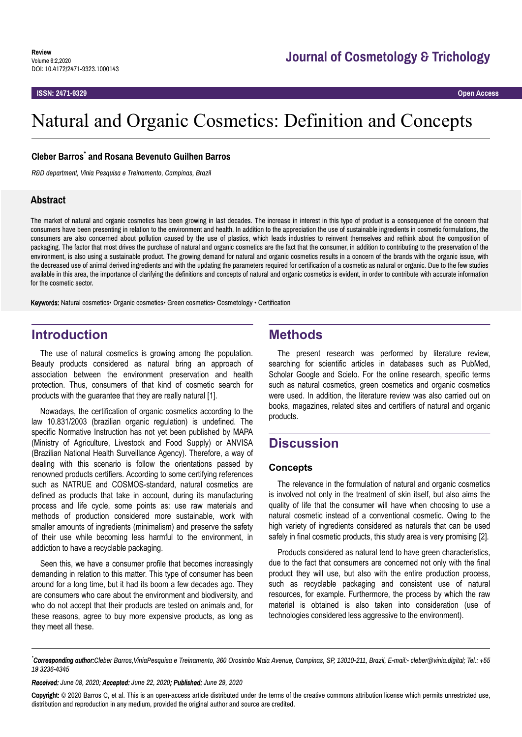**ISSN: 2471-9329 Open Access**

# Natural and Organic Cosmetics: Definition and Concepts

## **Cleber Barros\* and Rosana Bevenuto Guilhen Barros**

*R&D department, Vinia Pesquisa e Treinamento, Campinas, Brazil*

## **Abstract**

The market of natural and organic cosmetics has been growing in last decades. The increase in interest in this type of product is a consequence of the concern that consumers have been presenting in relation to the environment and health. In addition to the appreciation the use of sustainable ingredients in cosmetic formulations, the consumers are also concerned about pollution caused by the use of plastics, which leads industries to reinvent themselves and rethink about the composition of packaging. The factor that most drives the purchase of natural and organic cosmetics are the fact that the consumer, in addition to contributing to the preservation of the environment, is also using a sustainable product. The growing demand for natural and organic cosmetics results in a concern of the brands with the organic issue, with the decreased use of animal derived ingredients and with the updating the parameters required for certification of a cosmetic as natural or organic. Due to the few studies available in this area, the importance of clarifying the definitions and concepts of natural and organic cosmetics is evident, in order to contribute with accurate information for the cosmetic sector.

Keywords: Natural cosmetics• Organic cosmetics• Green cosmetics• Cosmetology • Certification

# **Introduction**

The use of natural cosmetics is growing among the population. Beauty products considered as natural bring an approach of association between the environment preservation and health protection. Thus, consumers of that kind of cosmetic search for products with the guarantee that they are really natural [1].

Nowadays, the certification of organic cosmetics according to the law 10.831/2003 (brazilian organic regulation) is undefined. The specific Normative Instruction has not yet been published by MAPA (Ministry of Agriculture, Livestock and Food Supply) or ANVISA (Brazilian National Health Surveillance Agency). Therefore, a way of dealing with this scenario is follow the orientations passed by renowned products certifiers. According to some certifying references such as NATRUE and COSMOS-standard, natural cosmetics are defined as products that take in account, during its manufacturing process and life cycle, some points as: use raw materials and methods of production considered more sustainable, work with smaller amounts of ingredients (minimalism) and preserve the safety of their use while becoming less harmful to the environment, in addiction to have a recyclable packaging.

Seen this, we have a consumer profile that becomes increasingly demanding in relation to this matter. This type of consumer has been around for a long time, but it had its boom a few decades ago. They are consumers who care about the environment and biodiversity, and who do not accept that their products are tested on animals and, for these reasons, agree to buy more expensive products, as long as they meet all these.

# **Methods**

The present research was performed by literature review, searching for scientific articles in databases such as PubMed, Scholar Google and Scielo. For the online research, specific terms such as natural cosmetics, green cosmetics and organic cosmetics were used. In addition, the literature review was also carried out on books, magazines, related sites and certifiers of natural and organic products.

# **Discussion**

## **Concepts**

The relevance in the formulation of natural and organic cosmetics is involved not only in the treatment of skin itself, but also aims the quality of life that the consumer will have when choosing to use a natural cosmetic instead of a conventional cosmetic. Owing to the high variety of ingredients considered as naturals that can be used safely in final cosmetic products, this study area is very promising [2].

Products considered as natural tend to have green characteristics, due to the fact that consumers are concerned not only with the final product they will use, but also with the entire production process, such as recyclable packaging and consistent use of natural resources, for example. Furthermore, the process by which the raw material is obtained is also taken into consideration (use of technologies considered less aggressive to the environment).

*Received: June 08, 2020; Accepted: June 22, 2020; Published: June 29, 2020*

Copyright: © 2020 Barros C, et al. This is an open-access article distributed under the terms of the creative commons attribution license which permits unrestricted use, distribution and reproduction in any medium, provided the original author and source are credited.

*<sup>\*</sup>Corresponding author:Cleber Barros,ViniaPesquisa e Treinamento, 360 Orosimbo Maia Avenue, Campinas, SP, 13010-211, Brazil, E-mail:- cleber@vinia.digital; Tel.: +55 19 3236-4345*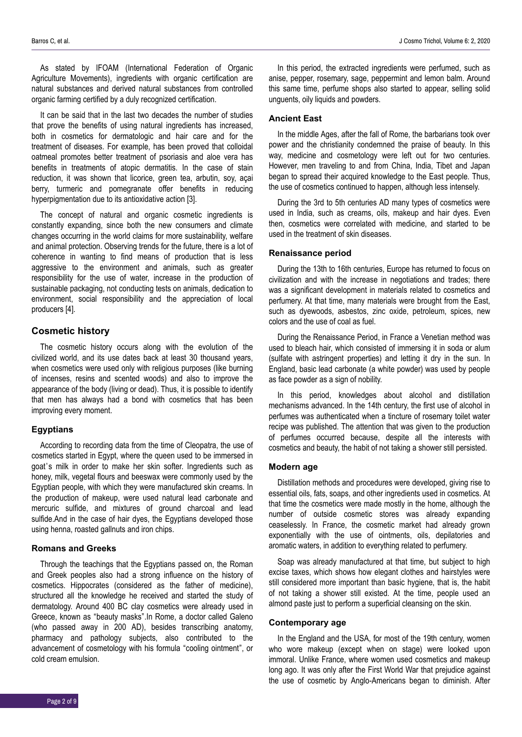As stated by IFOAM (International Federation of Organic Agriculture Movements), ingredients with organic certification are natural substances and derived natural substances from controlled organic farming certified by a duly recognized certification.

It can be said that in the last two decades the number of studies that prove the benefits of using natural ingredients has increased, both in cosmetics for dermatologic and hair care and for the treatment of diseases. For example, has been proved that colloidal oatmeal promotes better treatment of psoriasis and aloe vera has benefits in treatments of atopic dermatitis. In the case of stain reduction, it was shown that licorice, green tea, arbutin, soy, açai berry, turmeric and pomegranate offer benefits in reducing hyperpigmentation due to its antioxidative action [3].

The concept of natural and organic cosmetic ingredients is constantly expanding, since both the new consumers and climate changes occurring in the world claims for more sustainability, welfare and animal protection. Observing trends for the future, there is a lot of coherence in wanting to find means of production that is less aggressive to the environment and animals, such as greater responsibility for the use of water, increase in the production of sustainable packaging, not conducting tests on animals, dedication to environment, social responsibility and the appreciation of local producers [4].

## **Cosmetic history**

The cosmetic history occurs along with the evolution of the civilized world, and its use dates back at least 30 thousand years, when cosmetics were used only with religious purposes (like burning of incenses, resins and scented woods) and also to improve the appearance of the body (living or dead). Thus, it is possible to identify that men has always had a bond with cosmetics that has been improving every moment.

### **Egyptians**

According to recording data from the time of Cleopatra, the use of cosmetics started in Egypt, where the queen used to be immersed in goat's milk in order to make her skin softer. Ingredients such as honey, milk, vegetal flours and beeswax were commonly used by the Egyptian people, with which they were manufactured skin creams. In the production of makeup, were used natural lead carbonate and mercuric sulfide, and mixtures of ground charcoal and lead sulfide.And in the case of hair dyes, the Egyptians developed those using henna, roasted gallnuts and iron chips.

## **Romans and Greeks**

Through the teachings that the Egyptians passed on, the Roman and Greek peoples also had a strong influence on the history of cosmetics. Hippocrates (considered as the father of medicine), structured all the knowledge he received and started the study of dermatology. Around 400 BC clay cosmetics were already used in Greece, known as "beauty masks".In Rome, a doctor called Galeno (who passed away in 200 AD), besides transcribing anatomy, pharmacy and pathology subjects, also contributed to the advancement of cosmetology with his formula "cooling ointment", or cold cream emulsion.

In this period, the extracted ingredients were perfumed, such as anise, pepper, rosemary, sage, peppermint and lemon balm. Around this same time, perfume shops also started to appear, selling solid unguents, oily liquids and powders.

#### **Ancient East**

In the middle Ages, after the fall of Rome, the barbarians took over power and the christianity condemned the praise of beauty. In this way, medicine and cosmetology were left out for two centuries. However, men traveling to and from China, India, Tibet and Japan began to spread their acquired knowledge to the East people. Thus, the use of cosmetics continued to happen, although less intensely.

During the 3rd to 5th centuries AD many types of cosmetics were used in India, such as creams, oils, makeup and hair dyes. Even then, cosmetics were correlated with medicine, and started to be used in the treatment of skin diseases.

## **Renaissance period**

During the 13th to 16th centuries, Europe has returned to focus on civilization and with the increase in negotiations and trades; there was a significant development in materials related to cosmetics and perfumery. At that time, many materials were brought from the East, such as dyewoods, asbestos, zinc oxide, petroleum, spices, new colors and the use of coal as fuel.

During the Renaissance Period, in France a Venetian method was used to bleach hair, which consisted of immersing it in soda or alum (sulfate with astringent properties) and letting it dry in the sun. In England, basic lead carbonate (a white powder) was used by people as face powder as a sign of nobility.

In this period, knowledges about alcohol and distillation mechanisms advanced. In the 14th century, the first use of alcohol in perfumes was authenticated when a tincture of rosemary toilet water recipe was published. The attention that was given to the production of perfumes occurred because, despite all the interests with cosmetics and beauty, the habit of not taking a shower still persisted.

## **Modern age**

Distillation methods and procedures were developed, giving rise to essential oils, fats, soaps, and other ingredients used in cosmetics. At that time the cosmetics were made mostly in the home, although the number of outside cosmetic stores was already expanding ceaselessly. In France, the cosmetic market had already grown exponentially with the use of ointments, oils, depilatories and aromatic waters, in addition to everything related to perfumery.

Soap was already manufactured at that time, but subject to high excise taxes, which shows how elegant clothes and hairstyles were still considered more important than basic hygiene, that is, the habit of not taking a shower still existed. At the time, people used an almond paste just to perform a superficial cleansing on the skin.

#### **Contemporary age**

In the England and the USA, for most of the 19th century, women who wore makeup (except when on stage) were looked upon immoral. Unlike France, where women used cosmetics and makeup long ago. It was only after the First World War that prejudice against the use of cosmetic by Anglo-Americans began to diminish. After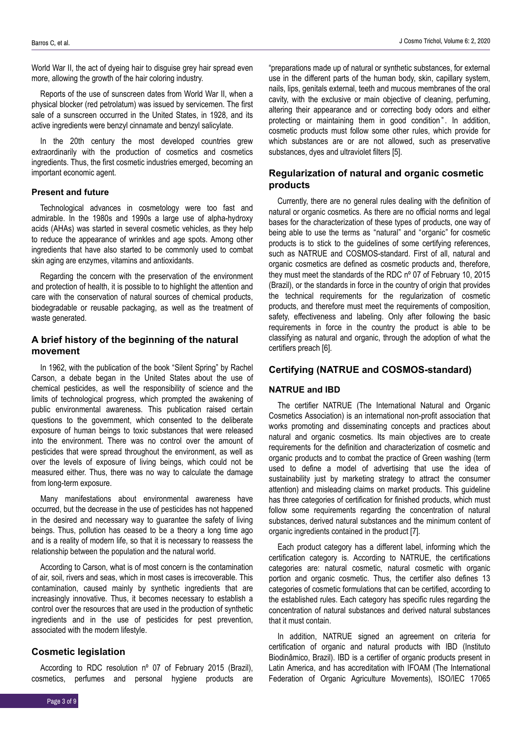World War II, the act of dyeing hair to disguise grey hair spread even more, allowing the growth of the hair coloring industry.

Reports of the use of sunscreen dates from World War II, when a physical blocker (red petrolatum) was issued by servicemen. The first sale of a sunscreen occurred in the United States, in 1928, and its active ingredients were benzyl cinnamate and benzyl salicylate.

In the 20th century the most developed countries grew extraordinarily with the production of cosmetics and cosmetics ingredients. Thus, the first cosmetic industries emerged, becoming an important economic agent.

### **Present and future**

Technological advances in cosmetology were too fast and admirable. In the 1980s and 1990s a large use of alpha-hydroxy acids (AHAs) was started in several cosmetic vehicles, as they help to reduce the appearance of wrinkles and age spots. Among other ingredients that have also started to be commonly used to combat skin aging are enzymes, vitamins and antioxidants.

Regarding the concern with the preservation of the environment and protection of health, it is possible to to highlight the attention and care with the conservation of natural sources of chemical products, biodegradable or reusable packaging, as well as the treatment of waste generated.

## **A brief history of the beginning of the natural movement**

In 1962, with the publication of the book "Silent Spring" by Rachel Carson, a debate began in the United States about the use of chemical pesticides, as well the responsibility of science and the limits of technological progress, which prompted the awakening of public environmental awareness. This publication raised certain questions to the government, which consented to the deliberate exposure of human beings to toxic substances that were released into the environment. There was no control over the amount of pesticides that were spread throughout the environment, as well as over the levels of exposure of living beings, which could not be measured either. Thus, there was no way to calculate the damage from long-term exposure.

Many manifestations about environmental awareness have occurred, but the decrease in the use of pesticides has not happened in the desired and necessary way to guarantee the safety of living beings. Thus, pollution has ceased to be a theory a long time ago and is a reality of modern life, so that it is necessary to reassess the relationship between the population and the natural world.

According to Carson, what is of most concern is the contamination of air, soil, rivers and seas, which in most cases is irrecoverable. This contamination, caused mainly by synthetic ingredients that are increasingly innovative. Thus, it becomes necessary to establish a control over the resources that are used in the production of synthetic ingredients and in the use of pesticides for pest prevention, associated with the modern lifestyle.

## **Cosmetic legislation**

According to RDC resolution nº 07 of February 2015 (Brazil), cosmetics, perfumes and personal hygiene products are

"preparations made up of natural or synthetic substances, for external use in the different parts of the human body, skin, capillary system, nails, lips, genitals external, teeth and mucous membranes of the oral cavity, with the exclusive or main objective of cleaning, perfuming, altering their appearance and or correcting body odors and either protecting or maintaining them in good condition". In addition, cosmetic products must follow some other rules, which provide for which substances are or are not allowed, such as preservative substances, dyes and ultraviolet filters [5].

## **Regularization of natural and organic cosmetic products**

Currently, there are no general rules dealing with the definition of natural or organic cosmetics. As there are no official norms and legal bases for the characterization of these types of products, one way of being able to use the terms as "natural" and "organic" for cosmetic products is to stick to the guidelines of some certifying references, such as NATRUE and COSMOS-standard. First of all, natural and organic cosmetics are defined as cosmetic products and, therefore, they must meet the standards of the RDC nº 07 of February 10, 2015 (Brazil), or the standards in force in the country of origin that provides the technical requirements for the regularization of cosmetic products, and therefore must meet the requirements of composition, safety, effectiveness and labeling. Only after following the basic requirements in force in the country the product is able to be classifying as natural and organic, through the adoption of what the certifiers preach [6].

## **Certifying (NATRUE and COSMOS-standard)**

## **NATRUE and IBD**

The certifier NATRUE (The International Natural and Organic Cosmetics Association) is an international non-profit association that works promoting and disseminating concepts and practices about natural and organic cosmetics. Its main objectives are to create requirements for the definition and characterization of cosmetic and organic products and to combat the practice of Green washing (term used to define a model of advertising that use the idea of sustainability just by marketing strategy to attract the consumer attention) and misleading claims on market products. This guideline has three categories of certification for finished products, which must follow some requirements regarding the concentration of natural substances, derived natural substances and the minimum content of organic ingredients contained in the product [7].

Each product category has a different label, informing which the certification category is. According to NATRUE, the certifications categories are: natural cosmetic, natural cosmetic with organic portion and organic cosmetic. Thus, the certifier also defines 13 categories of cosmetic formulations that can be certified, according to the established rules. Each category has specific rules regarding the concentration of natural substances and derived natural substances that it must contain.

In addition, NATRUE signed an agreement on criteria for certification of organic and natural products with IBD (Instituto Biodinâmico, Brazil). IBD is a certifier of organic products present in Latin America, and has accreditation with IFOAM (The International Federation of Organic Agriculture Movements), ISO/IEC 17065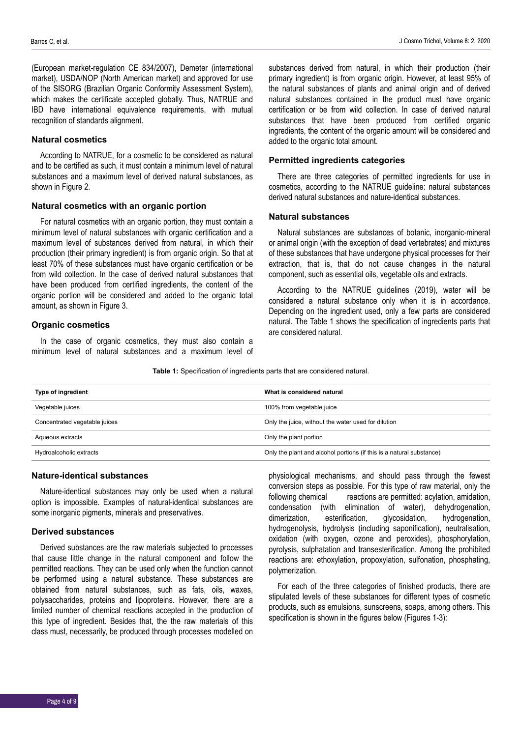(European market-regulation CE 834/2007), Demeter (international market), USDA/NOP (North American market) and approved for use of the SISORG (Brazilian Organic Conformity Assessment System), which makes the certificate accepted globally. Thus, NATRUE and IBD have international equivalence requirements, with mutual recognition of standards alignment.

#### **Natural cosmetics**

According to NATRUE, for a cosmetic to be considered as natural and to be certified as such, it must contain a minimum level of natural substances and a maximum level of derived natural substances, as shown in Figure 2.

## **Natural cosmetics with an organic portion**

For natural cosmetics with an organic portion, they must contain a minimum level of natural substances with organic certification and a maximum level of substances derived from natural, in which their production (their primary ingredient) is from organic origin. So that at least 70% of these substances must have organic certification or be from wild collection. In the case of derived natural substances that have been produced from certified ingredients, the content of the organic portion will be considered and added to the organic total amount, as shown in Figure 3.

## **Organic cosmetics**

In the case of organic cosmetics, they must also contain a minimum level of natural substances and a maximum level of substances derived from natural, in which their production (their primary ingredient) is from organic origin. However, at least 95% of the natural substances of plants and animal origin and of derived natural substances contained in the product must have organic certification or be from wild collection. In case of derived natural substances that have been produced from certified organic ingredients, the content of the organic amount will be considered and added to the organic total amount.

### **Permitted ingredients categories**

There are three categories of permitted ingredients for use in cosmetics, according to the NATRUE guideline: natural substances derived natural substances and nature-identical substances.

## **Natural substances**

Natural substances are substances of botanic, inorganic-mineral or animal origin (with the exception of dead vertebrates) and mixtures of these substances that have undergone physical processes for their extraction, that is, that do not cause changes in the natural component, such as essential oils, vegetable oils and extracts.

According to the NATRUE guidelines (2019), water will be considered a natural substance only when it is in accordance. Depending on the ingredient used, only a few parts are considered natural. The Table 1 shows the specification of ingredients parts that are considered natural.

**Table 1:** Specification of ingredients parts that are considered natural.

| Type of ingredient            | What is considered natural                                           |
|-------------------------------|----------------------------------------------------------------------|
| Vegetable juices              | 100% from vegetable juice                                            |
| Concentrated vegetable juices | Only the juice, without the water used for dilution                  |
| Aqueous extracts              | Only the plant portion                                               |
| Hydroalcoholic extracts       | Only the plant and alcohol portions (if this is a natural substance) |

#### **Nature-identical substances**

Nature-identical substances may only be used when a natural option is impossible. Examples of natural-identical substances are some inorganic pigments, minerals and preservatives.

#### **Derived substances**

Derived substances are the raw materials subjected to processes that cause little change in the natural component and follow the permitted reactions. They can be used only when the function cannot be performed using a natural substance. These substances are obtained from natural substances, such as fats, oils, waxes, polysaccharides, proteins and lipoproteins. However, there are a limited number of chemical reactions accepted in the production of this type of ingredient. Besides that, the the raw materials of this class must, necessarily, be produced through processes modelled on

physiological mechanisms, and should pass through the fewest conversion steps as possible. For this type of raw material, only the following chemical reactions are permitted: acylation, amidation, condensation (with elimination of water), dehydrogenation, dimerization, esterification, glycosidation, hydrogenation, hydrogenolysis, hydrolysis (including saponification), neutralisation, oxidation (with oxygen, ozone and peroxides), phosphorylation, pyrolysis, sulphatation and transesterification. Among the prohibited reactions are: ethoxylation, propoxylation, sulfonation, phosphating, polymerization.

For each of the three categories of finished products, there are stipulated levels of these substances for different types of cosmetic products, such as emulsions, sunscreens, soaps, among others. This specification is shown in the figures below (Figures 1-3):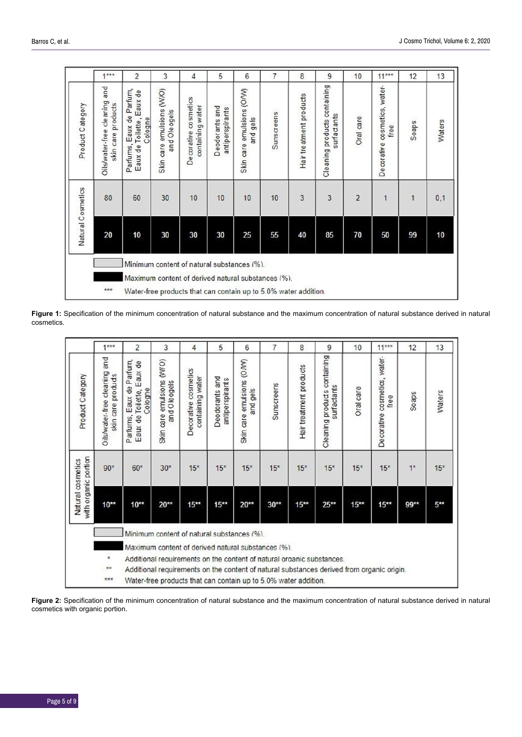|                                                                                                                                                                            | $1***$                                             | 2                                                                   | 3                                         | 4                                                  | 5                                 | 6                                        | 7          | 8                       | 9                                           | 10             | $11***$                              | 12    | 13     |
|----------------------------------------------------------------------------------------------------------------------------------------------------------------------------|----------------------------------------------------|---------------------------------------------------------------------|-------------------------------------------|----------------------------------------------------|-----------------------------------|------------------------------------------|------------|-------------------------|---------------------------------------------|----------------|--------------------------------------|-------|--------|
| Product Category                                                                                                                                                           | Oils/water-free cleaning and<br>skin care products | Parfums, Eaux de Parfum,<br>Toilette, Eaux de<br>Cologne<br>Eaux de | Skin care emulsions (W/O)<br>and Oleogels | <b>cosmetics</b><br>containing water<br>Decorative | Deodorants and<br>antiperspirants | Skin care emulsions (O/W)<br>ge s<br>and | Sunscreens | Hair treatment products | Cleaning products containing<br>surfactants | Oral care      | Decorative cosmetics, water-<br>free | Soaps | Waters |
|                                                                                                                                                                            | 80                                                 | 60                                                                  | 30                                        | 10                                                 | 10                                | 10                                       | 10         | 3                       | 3                                           | $\overline{c}$ | 1                                    | 1     | 0,1    |
| Natural Cosmetics                                                                                                                                                          | 20                                                 | 10                                                                  | 30                                        | 30                                                 | 30                                | 25                                       | 55         | 40                      | 85                                          | 70             | 50                                   | 99    | 10     |
| Minimum content of natural substances (%).<br>Maximum content of derived natural substances (%).<br>***<br>Water-free products that can contain up to 5.0% water addition. |                                                    |                                                                     |                                           |                                                    |                                   |                                          |            |                         |                                             |                |                                      |       |        |

**Figure 1:** Specification of the minimum concentration of natural substance and the maximum concentration of natural substance derived in natural cosmetics.

|                                           | $1***$                                             | $\overline{\mathbf{c}}$                                                                                                     | 3                                         | 4                                        | 5                                 | $6\phantom{1}$                        | 7          | 8                       | 9                                           | 10        | $11***$                             | 12    | 13     |
|-------------------------------------------|----------------------------------------------------|-----------------------------------------------------------------------------------------------------------------------------|-------------------------------------------|------------------------------------------|-----------------------------------|---------------------------------------|------------|-------------------------|---------------------------------------------|-----------|-------------------------------------|-------|--------|
| Product Category                          | Oils/water-free cleaning and<br>skin care products | Parfums, Eaux de Parfum,<br>Eaux de<br>Cologne<br>Eaux de Toilette,                                                         | Skin care emulsions (WO)<br>and O leogels | Decorative cosmetics<br>containing water | Deodorants and<br>antiperspirants | Skin care emulsions (O/W)<br>and gels | Sunscreens | Hair treatment products | Cleaning products containing<br>surfactants | Oral care | Decorative cosmetics, water<br>free | Soaps | Waters |
| with organic portion<br>Natural cosmetics | $90*$                                              | $60*$                                                                                                                       | $30*$                                     | $15*$                                    | $15*$                             | $15*$                                 | $15*$      | $15*$                   | $15*$                                       | $15*$     | $15*$                               | $1*$  | $15*$  |
|                                           | $10***$                                            | $10***$                                                                                                                     | $20***$                                   | $15***$                                  | $15***$                           | $20**$                                | $30**$     | $15***$                 | $25***$                                     | $15***$   | $15***$                             | 99**  | $5***$ |
|                                           |                                                    | Minimum content of natural substances (%).                                                                                  |                                           |                                          |                                   |                                       |            |                         |                                             |           |                                     |       |        |
|                                           | ×                                                  | Maximum content of derived natural substances (%).<br>Additional requirements on the content of natural organic substances. |                                           |                                          |                                   |                                       |            |                         |                                             |           |                                     |       |        |
|                                           | **                                                 | Additional requirements on the content of natural substances derived from organic origin.                                   |                                           |                                          |                                   |                                       |            |                         |                                             |           |                                     |       |        |
|                                           | 女女女                                                | Water-free products that can contain up to 5.0% water addition.                                                             |                                           |                                          |                                   |                                       |            |                         |                                             |           |                                     |       |        |

**Figure 2:** Specification of the minimum concentration of natural substance and the maximum concentration of natural substance derived in natural cosmetics with organic portion.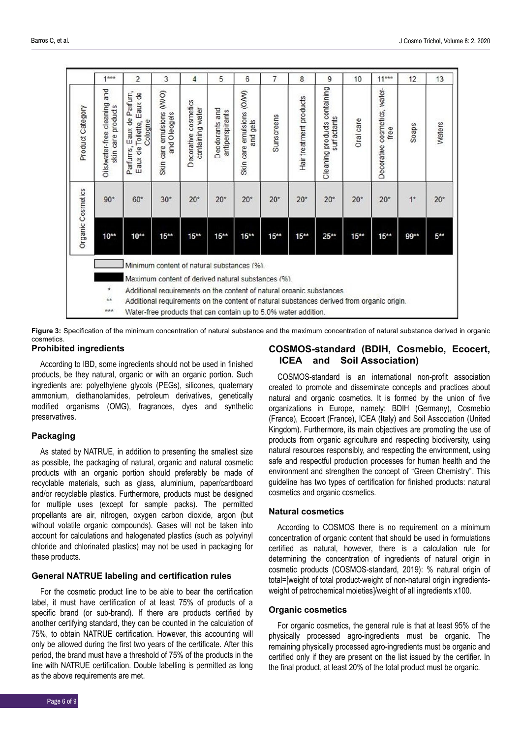|                   | $1***$                                                | $\overline{c}$                                                                                                                                                     | 3                                         | 4                                        | 5                                 | 6                                     | $\overline{7}$ | 8                       | 9                                           | 10        | $11***$                              | 12    | 13     |
|-------------------|-------------------------------------------------------|--------------------------------------------------------------------------------------------------------------------------------------------------------------------|-------------------------------------------|------------------------------------------|-----------------------------------|---------------------------------------|----------------|-------------------------|---------------------------------------------|-----------|--------------------------------------|-------|--------|
| Product Category  | and<br>Oils/water-free cleaning<br>skin care products | Eaux de Parfum,<br>Eaux de<br>Cologne<br>Eaux de Toilette,<br>Parfurns,                                                                                            | Skin care emulsions (WO)<br>and O leogels | Decorative cosmetics<br>containing water | Deodorants and<br>antiperspirants | Skin care emulsions (O/W)<br>and gels | Sunscreens     | Hair treatment products | Cleaning products containing<br>surfactants | Oral care | Decorative cosmetics, water-<br>free | Soaps | Waters |
| Organic Cosmetics | $90*$                                                 | $60*$                                                                                                                                                              | $30*$                                     | $20*$                                    | $20*$                             | $20*$                                 | $20*$          | $20*$                   | $20*$                                       | $20*$     | $20*$                                | $1*$  | $20*$  |
|                   | $10***$                                               | $10^{**}$                                                                                                                                                          | $15***$                                   | $15***$                                  | $15***$                           | $15***$                               | $15***$        | $15***$                 | $25**$                                      | $15***$   | $15***$                              | 99**  | $5***$ |
|                   |                                                       | Minimum content of natural substances (%).                                                                                                                         |                                           |                                          |                                   |                                       |                |                         |                                             |           |                                      |       |        |
|                   | ×                                                     | Maximum content of derived natural substances (%).                                                                                                                 |                                           |                                          |                                   |                                       |                |                         |                                             |           |                                      |       |        |
|                   | $**$                                                  | Additional requirements on the content of natural organic substances.<br>Additional requirements on the content of natural substances derived from organic origin. |                                           |                                          |                                   |                                       |                |                         |                                             |           |                                      |       |        |
|                   | ***                                                   | Water-free products that can contain up to 5.0% water addition.                                                                                                    |                                           |                                          |                                   |                                       |                |                         |                                             |           |                                      |       |        |

**Figure 3:** Specification of the minimum concentration of natural substance and the maximum concentration of natural substance derived in organic cosmetics.

## **Prohibited ingredients**

According to IBD, some ingredients should not be used in finished products, be they natural, organic or with an organic portion. Such ingredients are: polyethylene glycols (PEGs), silicones, quaternary ammonium, diethanolamides, petroleum derivatives, genetically modified organisms (OMG), fragrances, dyes and synthetic preservatives.

## **Packaging**

As stated by NATRUE, in addition to presenting the smallest size as possible, the packaging of natural, organic and natural cosmetic products with an organic portion should preferably be made of recyclable materials, such as glass, aluminium, paper/cardboard and/or recyclable plastics. Furthermore, products must be designed for multiple uses (except for sample packs). The permitted propellants are air, nitrogen, oxygen carbon dioxide, argon (but without volatile organic compounds). Gases will not be taken into account for calculations and halogenated plastics (such as polyvinyl chloride and chlorinated plastics) may not be used in packaging for these products.

#### **General NATRUE labeling and certification rules**

For the cosmetic product line to be able to bear the certification label, it must have certification of at least 75% of products of a specific brand (or sub-brand). If there are products certified by another certifying standard, they can be counted in the calculation of 75%, to obtain NATRUE certification. However, this accounting will only be allowed during the first two years of the certificate. After this period, the brand must have a threshold of 75% of the products in the line with NATRUE certification. Double labelling is permitted as long as the above requirements are met.

## **COSMOS-standard (BDIH, Cosmebio, Ecocert, ICEA and Soil Association)**

COSMOS-standard is an international non-profit association created to promote and disseminate concepts and practices about natural and organic cosmetics. It is formed by the union of five organizations in Europe, namely: BDIH (Germany), Cosmebio (France), Ecocert (France), ICEA (Italy) and Soil Association (United Kingdom). Furthermore, its main objectives are promoting the use of products from organic agriculture and respecting biodiversity, using natural resources responsibly, and respecting the environment, using safe and respectful production processes for human health and the environment and strengthen the concept of "Green Chemistry". This guideline has two types of certification for finished products: natural cosmetics and organic cosmetics.

## **Natural cosmetics**

According to COSMOS there is no requirement on a minimum concentration of organic content that should be used in formulations certified as natural, however, there is a calculation rule for determining the concentration of ingredients of natural origin in cosmetic products (COSMOS-standard, 2019): % natural origin of total=[weight of total product-weight of non-natural origin ingredientsweight of petrochemical moieties]/weight of all ingredients x100.

## **Organic cosmetics**

For organic cosmetics, the general rule is that at least 95% of the physically processed agro-ingredients must be organic. The remaining physically processed agro-ingredients must be organic and certified only if they are present on the list issued by the certifier. In the final product, at least 20% of the total product must be organic.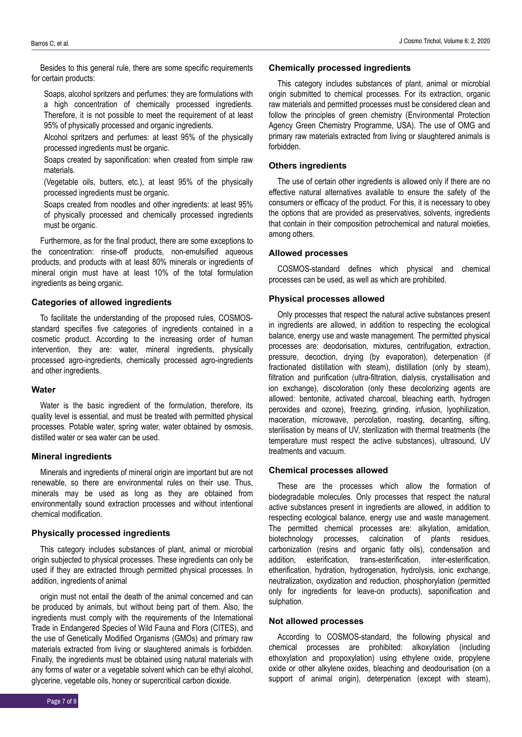Besides to this general rule, there are some specific requirements for certain products:

Soaps, alcohol spritzers and perfumes: they are formulations with a high concentration of chemically processed ingredients. Therefore, it is not possible to meet the requirement of at least 95% of physically processed and organic ingredients.

Alcohol spritzers and perfumes: at least 95% of the physically processed ingredients must be organic.

Soaps created by saponification: when created from simple raw materials.

(Vegetable oils, butters, etc.), at least 95% of the physically processed ingredients must be organic.

Soaps created from noodles and other ingredients: at least 95% of physically processed and chemically processed ingredients must be organic.

Furthermore, as for the final product, there are some exceptions to the concentration: rinse-off products, non-emulsified aqueous products, and products with at least 80% minerals or ingredients of mineral origin must have at least 10% of the total formulation ingredients as being organic.

## **Categories of allowed ingredients**

To facilitate the understanding of the proposed rules, COSMOSstandard specifies five categories of ingredients contained in a cosmetic product. According to the increasing order of human intervention, they are: water, mineral ingredients, physically processed agro-ingredients, chemically processed agro-ingredients and other ingredients.

## **Water**

Water is the basic ingredient of the formulation, therefore, its quality level is essential, and must be treated with permitted physical processes. Potable water, spring water, water obtained by osmosis, distilled water or sea water can be used.

#### **Mineral ingredients**

Minerals and ingredients of mineral origin are important but are not renewable, so there are environmental rules on their use. Thus, minerals may be used as long as they are obtained from environmentally sound extraction processes and without intentional chemical modification.

### **Physically processed ingredients**

This category includes substances of plant, animal or microbial origin subjected to physical processes. These ingredients can only be used if they are extracted through permitted physical processes. In addition, ingredients of animal

origin must not entail the death of the animal concerned and can be produced by animals, but without being part of them. Also, the ingredients must comply with the requirements of the International Trade in Endangered Species of Wild Fauna and Flora (CITES), and the use of Genetically Modified Organisms (GMOs) and primary raw materials extracted from living or slaughtered animals is forbidden. Finally, the ingredients must be obtained using natural materials with any forms of water or a vegetable solvent which can be ethyl alcohol, glycerine, vegetable oils, honey or supercritical carbon dioxide.

This category includes substances of plant, animal or microbial origin submitted to chemical processes. For its extraction, organic raw materials and permitted processes must be considered clean and follow the principles of green chemistry (Environmental Protection Agency Green Chemistry Programme, USA). The use of OMG and primary raw materials extracted from living or slaughtered animals is forbidden.

## **Others ingredients**

The use of certain other ingredients is allowed only if there are no effective natural alternatives available to ensure the safety of the consumers or efficacy of the product. For this, it is necessary to obey the options that are provided as preservatives, solvents, ingredients that contain in their composition petrochemical and natural moieties, among others.

## **Allowed processes**

COSMOS-standard defines which physical and chemical processes can be used, as well as which are prohibited.

## **Physical processes allowed**

Only processes that respect the natural active substances present in ingredients are allowed, in addition to respecting the ecological balance, energy use and waste management. The permitted physical processes are: deodorisation, mixtures, centrifugation, extraction, pressure, decoction, drying (by evaporation), deterpenation (if fractionated distillation with steam), distillation (only by steam), filtration and purification (ultra-filtration, dialysis, crystallisation and ion exchange), discoloration (only these decolorizing agents are allowed: bentonite, activated charcoal, bleaching earth, hydrogen peroxides and ozone), freezing, grinding, infusion, lyophilization, maceration, microwave, percolation, roasting, decanting, sifting, sterilisation by means of UV, sterilization with thermal treatments (the temperature must respect the active substances), ultrasound, UV treatments and vacuum.

#### **Chemical processes allowed**

These are the processes which allow the formation of biodegradable molecules. Only processes that respect the natural active substances present in ingredients are allowed, in addition to respecting ecological balance, energy use and waste management. The permitted chemical processes are: alkylation, amidation, biotechnology processes, calcination of plants residues, carbonization (resins and organic fatty oils), condensation and addition, esterification, trans-esterification, inter-esterification, etherification, hydration, hydrogenation, hydrolysis, ionic exchange, neutralization, oxydization and reduction, phosphorylation (permitted only for ingredients for leave-on products), saponification and sulphation.

#### **Not allowed processes**

According to COSMOS-standard, the following physical and chemical processes are prohibited: alkoxylation (including ethoxylation and propoxylation) using ethylene oxide, propylene oxide or other alkylene oxides, bleaching and deodourisation (on a support of animal origin), deterpenation (except with steam),

Page 7 of 9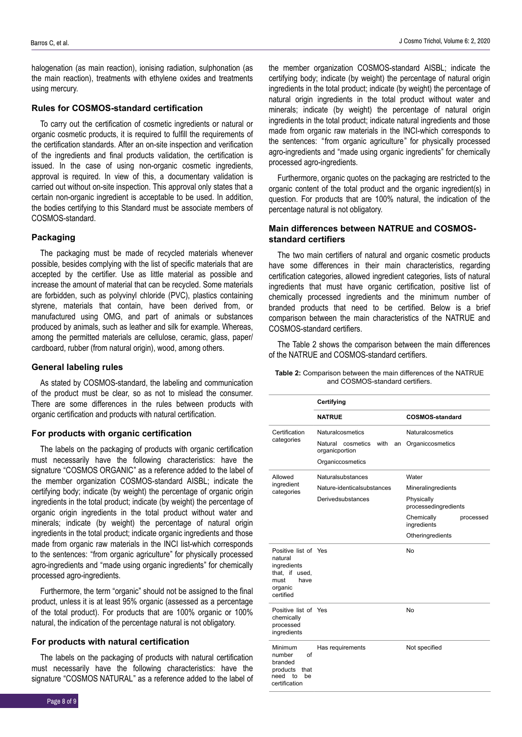halogenation (as main reaction), ionising radiation, sulphonation (as the main reaction), treatments with ethylene oxides and treatments using mercury.

#### **Rules for COSMOS-standard certification**

To carry out the certification of cosmetic ingredients or natural or organic cosmetic products, it is required to fulfill the requirements of the certification standards. After an on-site inspection and verification of the ingredients and final products validation, the certification is issued. In the case of using non-organic cosmetic ingredients, approval is required. In view of this, a documentary validation is carried out without on-site inspection. This approval only states that a certain non-organic ingredient is acceptable to be used. In addition, the bodies certifying to this Standard must be associate members of COSMOS-standard.

#### **Packaging**

The packaging must be made of recycled materials whenever possible, besides complying with the list of specific materials that are accepted by the certifier. Use as little material as possible and increase the amount of material that can be recycled. Some materials are forbidden, such as polyvinyl chloride (PVC), plastics containing styrene, materials that contain, have been derived from, or manufactured using OMG, and part of animals or substances produced by animals, such as leather and silk for example. Whereas, among the permitted materials are cellulose, ceramic, glass, paper/ cardboard, rubber (from natural origin), wood, among others.

#### **General labeling rules**

As stated by COSMOS-standard, the labeling and communication of the product must be clear, so as not to mislead the consumer. There are some differences in the rules between products with organic certification and products with natural certification.

#### **For products with organic certification**

The labels on the packaging of products with organic certification must necessarily have the following characteristics: have the signature "COSMOS ORGANIC" as a reference added to the label of the member organization COSMOS-standard AISBL; indicate the certifying body; indicate (by weight) the percentage of organic origin ingredients in the total product; indicate (by weight) the percentage of organic origin ingredients in the total product without water and minerals; indicate (by weight) the percentage of natural origin ingredients in the total product; indicate organic ingredients and those made from organic raw materials in the INCI list-which corresponds to the sentences: "from organic agriculture" for physically processed agro-ingredients and "made using organic ingredients" for chemically processed agro-ingredients.

Furthermore, the term "organic" should not be assigned to the final product, unless it is at least 95% organic (assessed as a percentage of the total product). For products that are 100% organic or 100% natural, the indication of the percentage natural is not obligatory.

## **For products with natural certification**

The labels on the packaging of products with natural certification must necessarily have the following characteristics: have the signature "COSMOS NATURAL" as a reference added to the label of the member organization COSMOS-standard AISBL; indicate the certifying body; indicate (by weight) the percentage of natural origin ingredients in the total product; indicate (by weight) the percentage of natural origin ingredients in the total product without water and minerals; indicate (by weight) the percentage of natural origin ingredients in the total product; indicate natural ingredients and those made from organic raw materials in the INCI-which corresponds to the sentences: "from organic agriculture" for physically processed agro-ingredients and "made using organic ingredients" for chemically processed agro-ingredients.

Furthermore, organic quotes on the packaging are restricted to the organic content of the total product and the organic ingredient(s) in question. For products that are 100% natural, the indication of the percentage natural is not obligatory.

## **Main differences between NATRUE and COSMOSstandard certifiers**

The two main certifiers of natural and organic cosmetic products have some differences in their main characteristics, regarding certification categories, allowed ingredient categories, lists of natural ingredients that must have organic certification, positive list of chemically processed ingredients and the minimum number of branded products that need to be certified. Below is a brief comparison between the main characteristics of the NATRUE and COSMOS-standard certifiers.

The Table 2 shows the comparison between the main differences of the NATRUE and COSMOS-standard certifiers.

| <b>Table 2:</b> Comparison between the main differences of the NATRUE |                                 |  |  |
|-----------------------------------------------------------------------|---------------------------------|--|--|
|                                                                       | and COSMOS-standard certifiers. |  |  |

|                                                                                                          | Certifying                                        |                                        |  |  |  |  |
|----------------------------------------------------------------------------------------------------------|---------------------------------------------------|----------------------------------------|--|--|--|--|
|                                                                                                          | <b>NATRUE</b>                                     | <b>COSMOS-standard</b>                 |  |  |  |  |
| Certification                                                                                            | Naturalcosmetics                                  | Naturalcosmetics                       |  |  |  |  |
| categories                                                                                               | Natural cosmetics<br>with<br>an<br>organicportion | Organiccosmetics                       |  |  |  |  |
|                                                                                                          | Organiccosmetics                                  |                                        |  |  |  |  |
| Allowed                                                                                                  | Naturalsubstances                                 | Water                                  |  |  |  |  |
| ingredient<br>categories                                                                                 | Nature-identical substances                       | Mineralingredients                     |  |  |  |  |
|                                                                                                          | Derivedsubstances                                 | Physically<br>processedingredients     |  |  |  |  |
|                                                                                                          |                                                   | Chemically<br>processed<br>ingredients |  |  |  |  |
|                                                                                                          |                                                   | Otheringredients                       |  |  |  |  |
| Positive list of Yes<br>natural<br>ingredients<br>that, if used,<br>have<br>must<br>organic<br>certified |                                                   | No                                     |  |  |  |  |
| Positive list of Yes<br>chemically<br>processed<br>ingredients                                           |                                                   | <b>No</b>                              |  |  |  |  |
| Minimum<br>number<br>οf<br>branded<br>products<br>that<br>need to<br>be<br>certification                 | Has requirements                                  | Not specified                          |  |  |  |  |